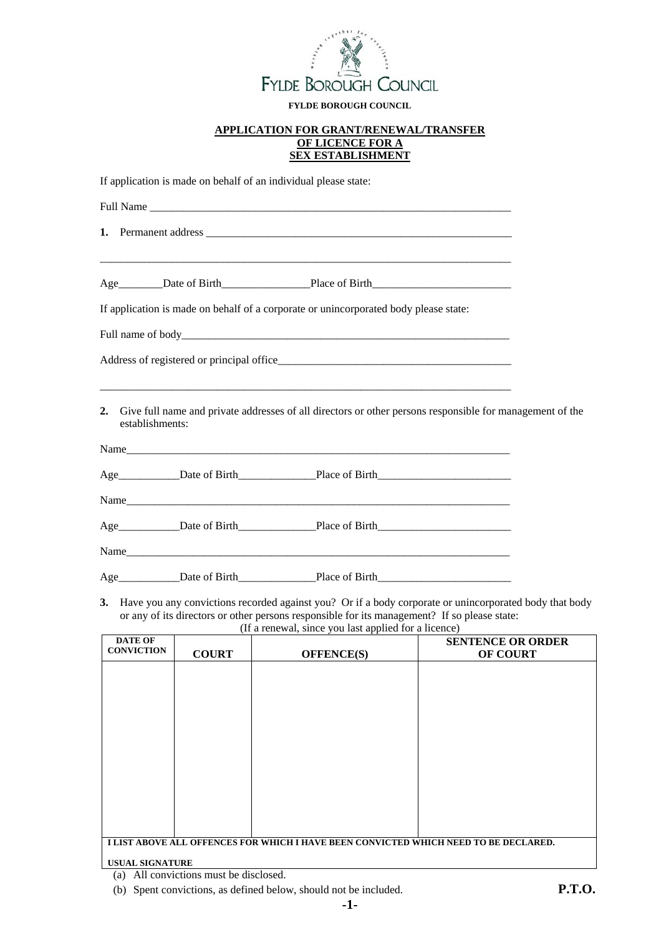

#### **FYLDE BOROUGH COUNCIL**

#### **APPLICATION FOR GRANT/RENEWAL/TRANSFER OF LICENCE FOR A SEX ESTABLISHMENT**

If application is made on behalf of an individual please state:

|                 | <u> 1989 - Johann Stoff, deutscher Stoff, der Stoff, der Stoff, der Stoff, der Stoff, der Stoff, der Stoff, der S</u>                                                                                                                                         |  |
|-----------------|---------------------------------------------------------------------------------------------------------------------------------------------------------------------------------------------------------------------------------------------------------------|--|
|                 |                                                                                                                                                                                                                                                               |  |
|                 | If application is made on behalf of a corporate or unincorporated body please state:                                                                                                                                                                          |  |
|                 |                                                                                                                                                                                                                                                               |  |
|                 |                                                                                                                                                                                                                                                               |  |
| establishments: | 2. Give full name and private addresses of all directors or other persons responsible for management of the                                                                                                                                                   |  |
|                 |                                                                                                                                                                                                                                                               |  |
|                 | Age <b>Name</b> Date of Birth Date of Birth Date of Birth Date of Birth Date of Birth Date of Birth Date of Birth Date of Birth Date of Birth Date of Birth Date of Birth Date of Birth Date of Birth Date of Birth Date of Birth D                           |  |
|                 | Name                                                                                                                                                                                                                                                          |  |
|                 | Age <b>Namel Confidence</b> Date of Birth <b>Namel Confidence</b> Date of Birth <b>Namel Confidence</b> Date of Birth <b>Namel Confidence</b> Date of Birth <b>Namel Confidence</b> Date of Birth <b>Namel Confidence</b> Date of Birth <b>Namel Confiden</b> |  |
|                 | Name                                                                                                                                                                                                                                                          |  |
|                 | Age Date of Birth Place of Birth Date of Birth                                                                                                                                                                                                                |  |

**3.** Have you any convictions recorded against you? Or if a body corporate or unincorporated body that body or any of its directors or other persons responsible for its management? If so please state:

(If a renewal, since you last applied for a licence)

| <b>DATE OF</b>    |              |                                                                                      | <b>SENTENCE OR ORDER</b> |
|-------------------|--------------|--------------------------------------------------------------------------------------|--------------------------|
| <b>CONVICTION</b> | <b>COURT</b> | <b>OFFENCE(S)</b>                                                                    | <b>OF COURT</b>          |
|                   |              |                                                                                      |                          |
|                   |              |                                                                                      |                          |
|                   |              |                                                                                      |                          |
|                   |              |                                                                                      |                          |
|                   |              |                                                                                      |                          |
|                   |              |                                                                                      |                          |
|                   |              |                                                                                      |                          |
|                   |              |                                                                                      |                          |
|                   |              |                                                                                      |                          |
|                   |              |                                                                                      |                          |
|                   |              |                                                                                      |                          |
|                   |              |                                                                                      |                          |
|                   |              |                                                                                      |                          |
|                   |              |                                                                                      |                          |
|                   |              | I LIST ABOVE ALL OFFENCES FOR WHICH I HAVE BEEN CONVICTED WHICH NEED TO BE DECLARED. |                          |
|                   |              |                                                                                      |                          |

**USUAL SIGNATURE**

(a) All convictions must be disclosed.

(b) Spent convictions, as defined below, should not be included. **P.T.O.**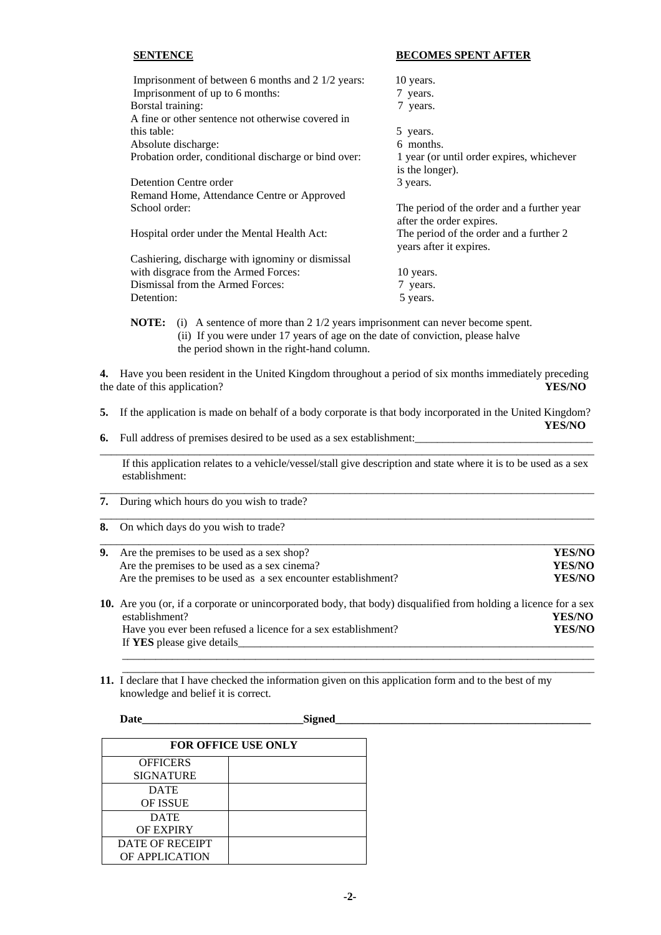#### **SENTENCE BECOMES SPENT AFTER**

| Imprisonment of between 6 months and 2 1/2 years:    | 10 years.                                  |
|------------------------------------------------------|--------------------------------------------|
| Imprisonment of up to 6 months:                      | 7 years.                                   |
| Borstal training:                                    | 7 years.                                   |
| A fine or other sentence not otherwise covered in    |                                            |
| this table:                                          | 5 years.                                   |
| Absolute discharge:                                  | 6 months.                                  |
| Probation order, conditional discharge or bind over: | 1 year (or until order expires, whichever  |
|                                                      | is the longer).                            |
| Detention Centre order                               | 3 years.                                   |
| Remand Home, Attendance Centre or Approved           |                                            |
| School order:                                        | The period of the order and a further year |
|                                                      | after the order expires.                   |
| Hospital order under the Mental Health Act:          | The period of the order and a further 2    |
|                                                      | years after it expires.                    |
| Cashiering, discharge with ignominy or dismissal     |                                            |
| with disgrace from the Armed Forces:                 | 10 years.                                  |
| Dismissal from the Armed Forces:                     | 7 years.                                   |
| Detention:                                           | 5 years.                                   |

**4.** Have you been resident in the United Kingdom throughout a period of six months immediately preceding the date of this application? **YES/NO**

**5.** If the application is made on behalf of a body corporate is that body incorporated in the United Kingdom? **YES/NO**

 $\_$  ,  $\_$  ,  $\_$  ,  $\_$  ,  $\_$  ,  $\_$  ,  $\_$  ,  $\_$  ,  $\_$  ,  $\_$  ,  $\_$  ,  $\_$  ,  $\_$  ,  $\_$  ,  $\_$  ,  $\_$  ,  $\_$  ,  $\_$  ,  $\_$  ,  $\_$  ,  $\_$  ,  $\_$  ,  $\_$  ,  $\_$  ,  $\_$  ,  $\_$  ,  $\_$  ,  $\_$  ,  $\_$  ,  $\_$  ,  $\_$  ,  $\_$  ,  $\_$  ,  $\_$  ,  $\_$  ,  $\_$  ,  $\_$  ,

 $\_$  ,  $\_$  ,  $\_$  ,  $\_$  ,  $\_$  ,  $\_$  ,  $\_$  ,  $\_$  ,  $\_$  ,  $\_$  ,  $\_$  ,  $\_$  ,  $\_$  ,  $\_$  ,  $\_$  ,  $\_$  ,  $\_$  ,  $\_$  ,  $\_$  ,  $\_$  ,  $\_$  ,  $\_$  ,  $\_$  ,  $\_$  ,  $\_$  ,  $\_$  ,  $\_$  ,  $\_$  ,  $\_$  ,  $\_$  ,  $\_$  ,  $\_$  ,  $\_$  ,  $\_$  ,  $\_$  ,  $\_$  ,  $\_$  ,

\_\_\_\_\_\_\_\_\_\_\_\_\_\_\_\_\_\_\_\_\_\_\_\_\_\_\_\_\_\_\_\_\_\_\_\_\_\_\_\_\_\_\_\_\_\_\_\_\_\_\_\_\_\_\_\_\_\_\_\_\_\_\_\_\_\_\_\_\_\_\_\_\_\_\_\_\_\_\_\_\_\_\_\_\_\_\_\_\_

**6.** Full address of premises desired to be used as a sex establishment:

the period shown in the right-hand column.

 If this application relates to a vehicle/vessel/stall give description and state where it is to be used as a sex establishment:

- **7.** During which hours do you wish to trade?
- **8.** On which days do you wish to trade?

| <b>9.</b> Are the premises to be used as a sex shop?          | YES/NO |
|---------------------------------------------------------------|--------|
| Are the premises to be used as a sex cinema?                  | YES/NO |
| Are the premises to be used as a sex encounter establishment? | YES/NO |
|                                                               |        |

**10.** Are you (or, if a corporate or unincorporated body, that body) disqualified from holding a licence for a sex establishment? **YES/NO Have you ever been refused a licence for a sex establishment? YES/NO** If **YES** please give details\_\_\_\_\_\_\_\_\_\_\_\_\_\_\_\_\_\_\_\_\_\_\_\_\_\_\_\_\_\_\_\_\_\_\_\_\_\_\_\_\_\_\_\_\_\_\_\_\_\_\_\_\_\_\_\_\_\_\_\_\_\_\_\_

 $\mathcal{L}_\text{max}$  , and the set of the set of the set of the set of the set of the set of the set of the set of the set of the set of the set of the set of the set of the set of the set of the set of the set of the set of the  $\mathcal{L}_\text{max}$  , and the contribution of the contribution of the contribution of the contribution of the contribution of the contribution of the contribution of the contribution of the contribution of the contribution of t

**11.** I declare that I have checked the information given on this application form and to the best of my knowledge and belief it is correct.

| <b>FOR OFFICE USE ONLY</b> |  |  |
|----------------------------|--|--|
| <b>OFFICERS</b>            |  |  |
| <b>SIGNATURE</b>           |  |  |
| <b>DATE</b>                |  |  |
| <b>OF ISSUE</b>            |  |  |
| <b>DATE</b>                |  |  |
| <b>OF EXPIRY</b>           |  |  |
| DATE OF RECEIPT            |  |  |
| OF APPLICATION             |  |  |

**Date\_\_\_\_\_\_\_\_\_\_\_\_\_\_\_\_\_\_\_\_\_\_\_\_\_\_\_\_\_Signed\_\_\_\_\_\_\_\_\_\_\_\_\_\_\_\_\_\_\_\_\_\_\_\_\_\_\_\_\_\_\_\_\_\_\_\_\_\_\_\_\_\_\_\_\_\_**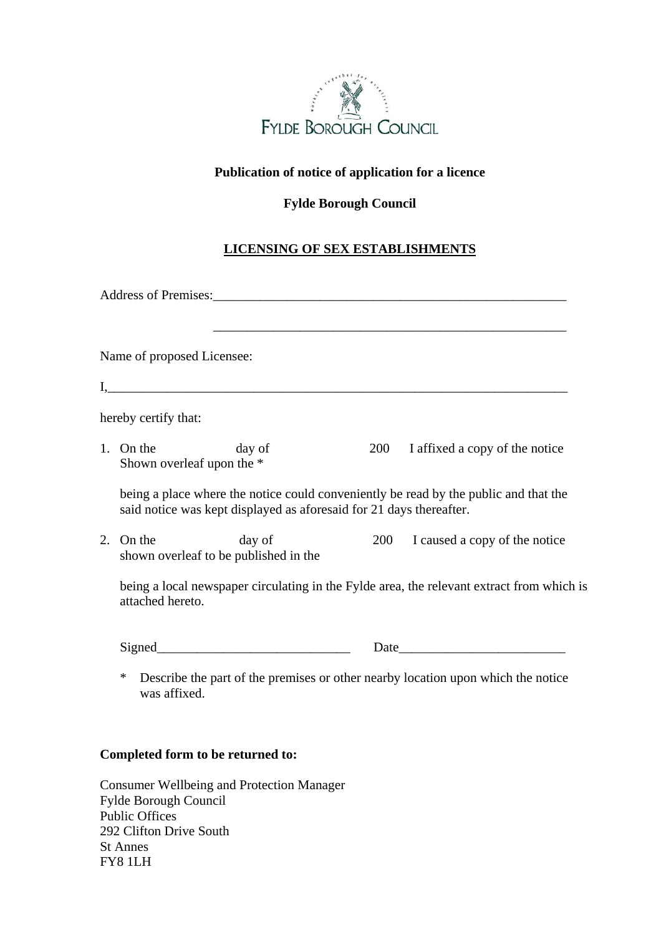

#### **Publication of notice of application for a licence**

### **Fylde Borough Council**

## **LICENSING OF SEX ESTABLISHMENTS**

| Name of proposed Licensee:                         |                                                                     |                                                                                           |
|----------------------------------------------------|---------------------------------------------------------------------|-------------------------------------------------------------------------------------------|
|                                                    |                                                                     |                                                                                           |
| hereby certify that:                               |                                                                     |                                                                                           |
| 1. On the<br>Shown overleaf upon the *             | day of                                                              | 200 I affixed a copy of the notice                                                        |
|                                                    | said notice was kept displayed as aforesaid for 21 days thereafter. | being a place where the notice could conveniently be read by the public and that the      |
| 2. On the<br>shown overleaf to be published in the | day of                                                              | 200 I caused a copy of the notice                                                         |
| attached hereto.                                   |                                                                     | being a local newspaper circulating in the Fylde area, the relevant extract from which is |
|                                                    |                                                                     |                                                                                           |
| *<br>was affixed.                                  |                                                                     | Describe the part of the premises or other nearby location upon which the notice          |

# **Completed form to be returned to:**

Consumer Wellbeing and Protection Manager Fylde Borough Council Public Offices 292 Clifton Drive South St Annes FY8 1LH